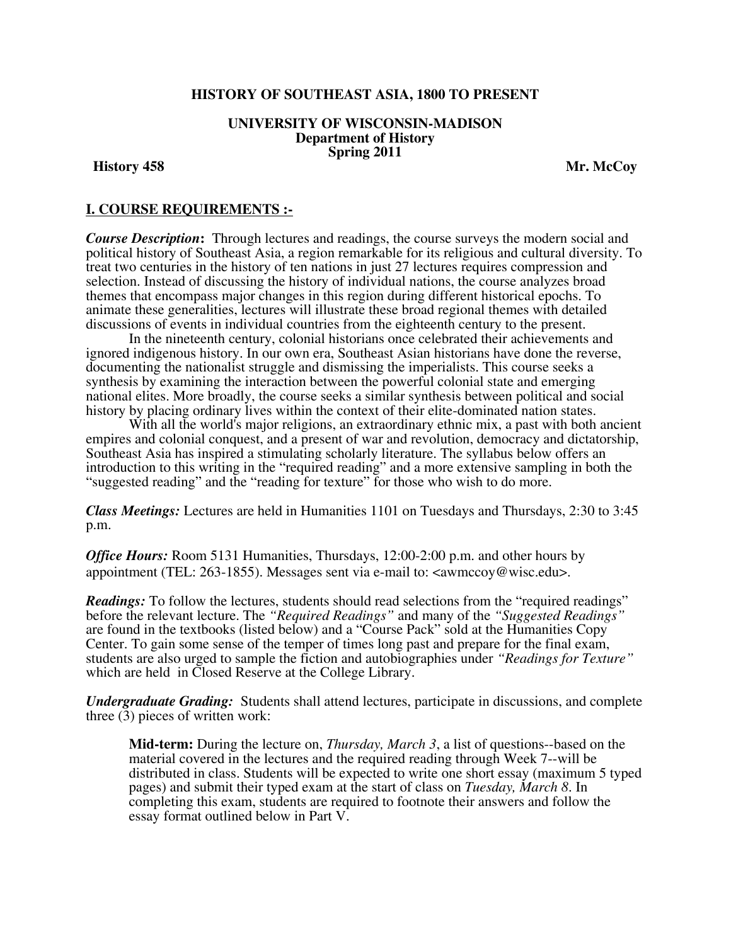## **HISTORY OF SOUTHEAST ASIA, 1800 TO PRESENT**

#### **UNIVERSITY OF WISCONSIN-MADISON Department of History Spring 2011**

**History 458** Mr. McCoy

## **I. COURSE REQUIREMENTS :-**

*Course Description***:** Through lectures and readings, the course surveys the modern social and political history of Southeast Asia, a region remarkable for its religious and cultural diversity. To treat two centuries in the history of ten nations in just 27 lectures requires compression and selection. Instead of discussing the history of individual nations, the course analyzes broad themes that encompass major changes in this region during different historical epochs. To animate these generalities, lectures will illustrate these broad regional themes with detailed discussions of events in individual countries from the eighteenth century to the present.

 In the nineteenth century, colonial historians once celebrated their achievements and ignored indigenous history. In our own era, Southeast Asian historians have done the reverse, documenting the nationalist struggle and dismissing the imperialists. This course seeks a synthesis by examining the interaction between the powerful colonial state and emerging national elites. More broadly, the course seeks a similar synthesis between political and social history by placing ordinary lives within the context of their elite-dominated nation states.

With all the world's major religions, an extraordinary ethnic mix, a past with both ancient empires and colonial conquest, and a present of war and revolution, democracy and dictatorship, Southeast Asia has inspired a stimulating scholarly literature. The syllabus below offers an introduction to this writing in the "required reading" and a more extensive sampling in both the "suggested reading" and the "reading for texture" for those who wish to do more.

*Class Meetings:* Lectures are held in Humanities 1101 on Tuesdays and Thursdays, 2:30 to 3:45 p.m.

*Office Hours:* Room 5131 Humanities, Thursdays, 12:00-2:00 p.m. and other hours by appointment (TEL: 263-1855). Messages sent via e-mail to: <awmccoy@wisc.edu>.

*Readings:* To follow the lectures, students should read selections from the "required readings" before the relevant lecture. The *"Required Readings"* and many of the *"Suggested Readings"* are found in the textbooks (listed below) and a "Course Pack" sold at the Humanities Copy Center. To gain some sense of the temper of times long past and prepare for the final exam, students are also urged to sample the fiction and autobiographies under *"Readings for Texture"* which are held in Closed Reserve at the College Library.

*Undergraduate Grading:*Students shall attend lectures, participate in discussions, and complete three (3) pieces of written work:

**Mid-term:** During the lecture on, *Thursday, March 3*, a list of questions--based on the material covered in the lectures and the required reading through Week 7--will be distributed in class. Students will be expected to write one short essay (maximum 5 typed pages) and submit their typed exam at the start of class on *Tuesday, March 8*. In completing this exam, students are required to footnote their answers and follow the essay format outlined below in Part V.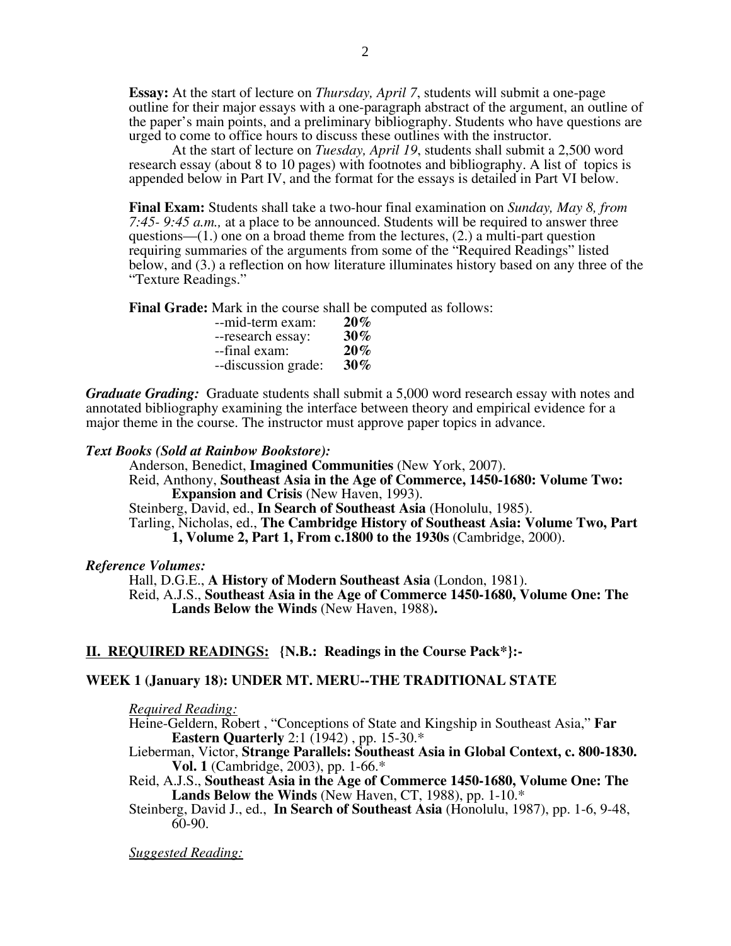**Essay:** At the start of lecture on *Thursday, April 7*, students will submit a one-page outline for their major essays with a one-paragraph abstract of the argument, an outline of the paper's main points, and a preliminary bibliography. Students who have questions are urged to come to office hours to discuss these outlines with the instructor.

At the start of lecture on *Tuesday, April 19*, students shall submit a 2,500 word research essay (about 8 to 10 pages) with footnotes and bibliography. A list of topics is appended below in Part IV, and the format for the essays is detailed in Part VI below.

**Final Exam:** Students shall take a two-hour final examination on *Sunday, May 8, from 7:45- 9:45 a.m.,* at a place to be announced. Students will be required to answer three questions— $(1)$  one on a broad theme from the lectures,  $(2)$  a multi-part question requiring summaries of the arguments from some of the "Required Readings" listed below, and (3.) a reflection on how literature illuminates history based on any three of the "Texture Readings."

**Final Grade:** Mark in the course shall be computed as follows:

| --mid-term exam:    | $20\%$ |
|---------------------|--------|
| --research essay:   | $30\%$ |
| --final exam:       | $20\%$ |
| --discussion grade: | $30\%$ |

*Graduate Grading:* Graduate students shall submit a 5,000 word research essay with notes and annotated bibliography examining the interface between theory and empirical evidence for a major theme in the course. The instructor must approve paper topics in advance.

## *Text Books (Sold at Rainbow Bookstore):*

Anderson, Benedict, **Imagined Communities** (New York, 2007). Reid, Anthony, **Southeast Asia in the Age of Commerce, 1450-1680: Volume Two: Expansion and Crisis** (New Haven, 1993).

Steinberg, David, ed., **In Search of Southeast Asia** (Honolulu, 1985).

Tarling, Nicholas, ed., **The Cambridge History of Southeast Asia: Volume Two, Part 1, Volume 2, Part 1, From c.1800 to the 1930s** (Cambridge, 2000).

## *Reference Volumes:*

Hall, D.G.E., **A History of Modern Southeast Asia** (London, 1981). Reid, A.J.S., **Southeast Asia in the Age of Commerce 1450-1680, Volume One: The Lands Below the Winds** (New Haven, 1988)**.** 

# **II. REQUIRED READINGS: {N.B.: Readings in the Course Pack\*}:-**

## **WEEK 1 (January 18): UNDER MT. MERU--THE TRADITIONAL STATE**

*Required Reading:*

Heine-Geldern, Robert , "Conceptions of State and Kingship in Southeast Asia," **Far Eastern Quarterly** 2:1 (1942) , pp. 15-30.\*

Lieberman, Victor, **Strange Parallels: Southeast Asia in Global Context, c. 800-1830. Vol. 1** (Cambridge, 2003), pp. 1-66.\*

Reid, A.J.S., **Southeast Asia in the Age of Commerce 1450-1680, Volume One: The Lands Below the Winds** (New Haven, CT, 1988), pp. 1-10.\*

Steinberg, David J., ed., **In Search of Southeast Asia** (Honolulu, 1987), pp. 1-6, 9-48, 60-90.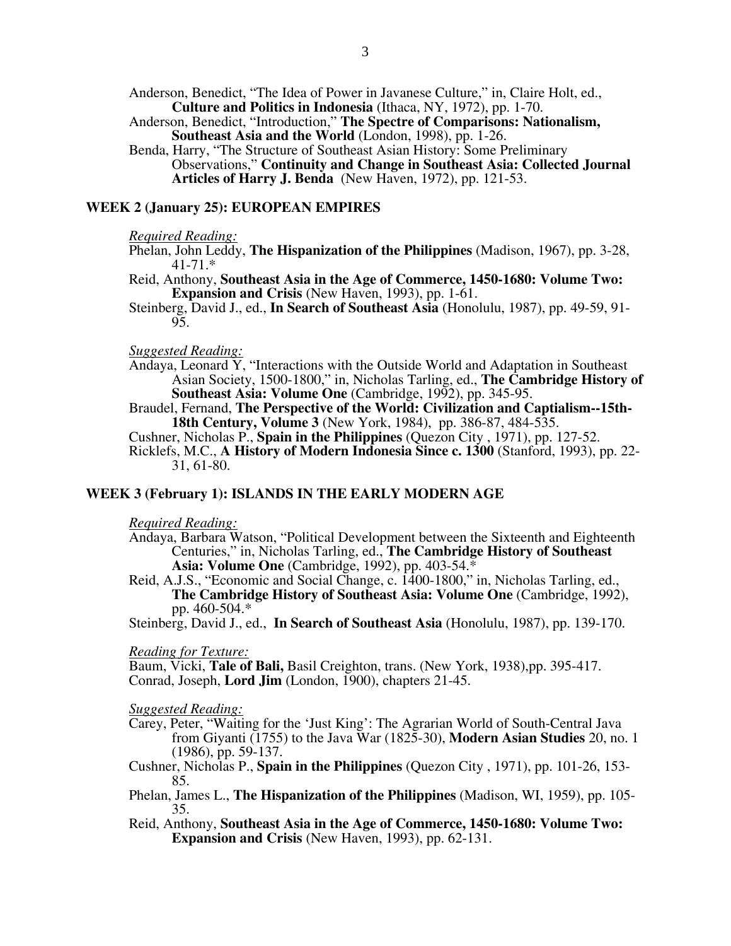Anderson, Benedict, "The Idea of Power in Javanese Culture," in, Claire Holt, ed., **Culture and Politics in Indonesia** (Ithaca, NY, 1972), pp. 1-70.

Anderson, Benedict, "Introduction," **The Spectre of Comparisons: Nationalism, Southeast Asia and the World** (London, 1998), pp. 1-26.

Benda, Harry, "The Structure of Southeast Asian History: Some Preliminary Observations," **Continuity and Change in Southeast Asia: Collected Journal Articles of Harry J. Benda** (New Haven, 1972), pp. 121-53.

#### **WEEK 2 (January 25): EUROPEAN EMPIRES**

#### *Required Reading:*

- Phelan, John Leddy, **The Hispanization of the Philippines** (Madison, 1967), pp. 3-28, 41-71.\*
- Reid, Anthony, **Southeast Asia in the Age of Commerce, 1450-1680: Volume Two: Expansion and Crisis** (New Haven, 1993), pp. 1-61.

Steinberg, David J., ed., **In Search of Southeast Asia** (Honolulu, 1987), pp. 49-59, 91- 95.

## *Suggested Reading:*

Andaya, Leonard Y, "Interactions with the Outside World and Adaptation in Southeast Asian Society, 1500-1800," in, Nicholas Tarling, ed., **The Cambridge History of Southeast Asia: Volume One** (Cambridge, 1992), pp. 345-95.

Braudel, Fernand, **The Perspective of the World: Civilization and Captialism--15th-18th Century, Volume 3** (New York, 1984), pp. 386-87, 484-535.

Cushner, Nicholas P., **Spain in the Philippines** (Quezon City , 1971), pp. 127-52.

Ricklefs, M.C., **A History of Modern Indonesia Since c. 1300** (Stanford, 1993), pp. 22- 31, 61-80.

### **WEEK 3 (February 1): ISLANDS IN THE EARLY MODERN AGE**

#### *Required Reading:*

- Andaya, Barbara Watson, "Political Development between the Sixteenth and Eighteenth Centuries," in, Nicholas Tarling, ed., **The Cambridge History of Southeast Asia: Volume One** (Cambridge, 1992), pp. 403-54.\*
- Reid, A.J.S., "Economic and Social Change, c. 1400-1800," in, Nicholas Tarling, ed., **The Cambridge History of Southeast Asia: Volume One** (Cambridge, 1992), pp. 460-504.\*

Steinberg, David J., ed., **In Search of Southeast Asia** (Honolulu, 1987), pp. 139-170.

#### *Reading for Texture:*

Baum, Vicki, **Tale of Bali,** Basil Creighton, trans. (New York, 1938),pp. 395-417. Conrad, Joseph, **Lord Jim** (London, 1900), chapters 21-45.

- Carey, Peter, "Waiting for the 'Just King': The Agrarian World of South-Central Java from Giyanti (1755) to the Java War (1825-30), **Modern Asian Studies** 20, no. 1 (1986), pp. 59-137.
- Cushner, Nicholas P., **Spain in the Philippines** (Quezon City , 1971), pp. 101-26, 153- 85.
- Phelan, James L., **The Hispanization of the Philippines** (Madison, WI, 1959), pp. 105- 35.
- Reid, Anthony, **Southeast Asia in the Age of Commerce, 1450-1680: Volume Two: Expansion and Crisis** (New Haven, 1993), pp. 62-131.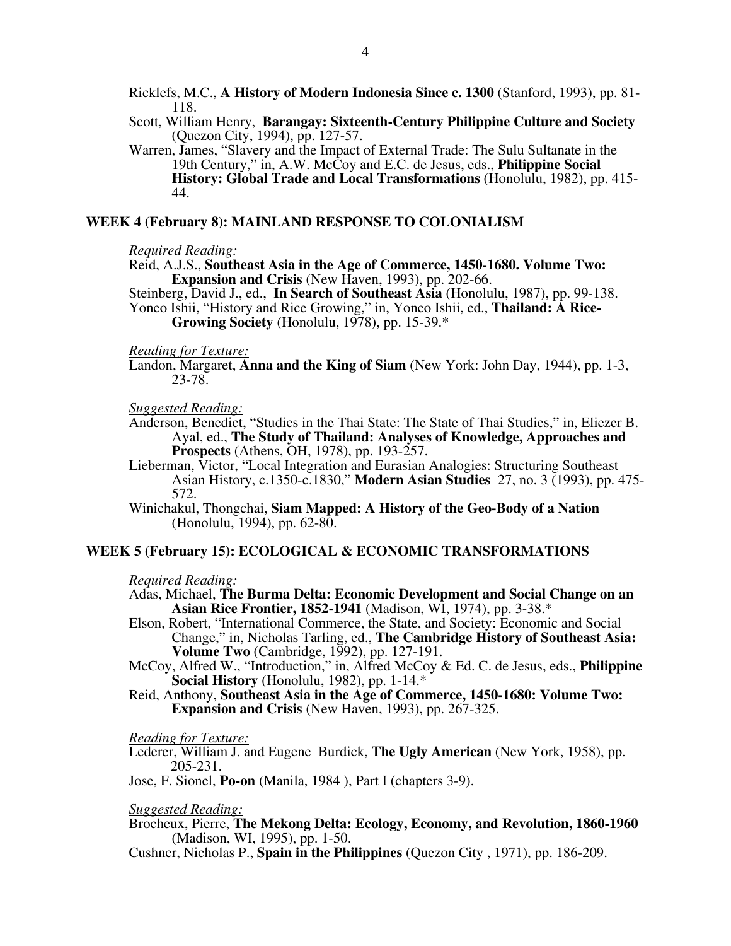Ricklefs, M.C., **A History of Modern Indonesia Since c. 1300** (Stanford, 1993), pp. 81- 118.

Scott, William Henry, **Barangay: Sixteenth-Century Philippine Culture and Society** (Quezon City, 1994), pp. 127-57.

Warren, James, "Slavery and the Impact of External Trade: The Sulu Sultanate in the 19th Century," in, A.W. McCoy and E.C. de Jesus, eds., **Philippine Social History: Global Trade and Local Transformations** (Honolulu, 1982), pp. 415- 44.

#### **WEEK 4 (February 8): MAINLAND RESPONSE TO COLONIALISM**

#### *Required Reading:*

Reid, A.J.S., **Southeast Asia in the Age of Commerce, 1450-1680. Volume Two: Expansion and Crisis** (New Haven, 1993), pp. 202-66.

Steinberg, David J., ed., **In Search of Southeast Asia** (Honolulu, 1987), pp. 99-138.

Yoneo Ishii, "History and Rice Growing," in, Yoneo Ishii, ed., **Thailand: A Rice-Growing Society** (Honolulu, 1978), pp. 15-39.\*

#### *Reading for Texture:*

Landon, Margaret, **Anna and the King of Siam** (New York: John Day, 1944), pp. 1-3, 23-78.

#### *Suggested Reading:*

- Anderson, Benedict, "Studies in the Thai State: The State of Thai Studies," in, Eliezer B. Ayal, ed., **The Study of Thailand: Analyses of Knowledge, Approaches and Prospects** (Athens, OH, 1978), pp. 193-257.
- Lieberman, Victor, "Local Integration and Eurasian Analogies: Structuring Southeast Asian History, c.1350-c.1830," **Modern Asian Studies** 27, no. 3 (1993), pp. 475- 572.
- Winichakul, Thongchai, **Siam Mapped: A History of the Geo-Body of a Nation** (Honolulu, 1994), pp. 62-80.

### **WEEK 5 (February 15): ECOLOGICAL & ECONOMIC TRANSFORMATIONS**

#### *Required Reading:*

- Adas, Michael, **The Burma Delta: Economic Development and Social Change on an Asian Rice Frontier, 1852-1941** (Madison, WI, 1974), pp. 3-38.\*
- Elson, Robert, "International Commerce, the State, and Society: Economic and Social Change," in, Nicholas Tarling, ed., **The Cambridge History of Southeast Asia: Volume Two** (Cambridge, 1992), pp. 127-191.
- McCoy, Alfred W., "Introduction," in, Alfred McCoy & Ed. C. de Jesus, eds., **Philippine Social History** (Honolulu, 1982), pp. 1-14.\*
- Reid, Anthony, **Southeast Asia in the Age of Commerce, 1450-1680: Volume Two: Expansion and Crisis** (New Haven, 1993), pp. 267-325.

#### *Reading for Texture:*

Lederer, William J. and Eugene Burdick, **The Ugly American** (New York, 1958), pp. 205-231.

Jose, F. Sionel, **Po-on** (Manila, 1984 ), Part I (chapters 3-9).

*Suggested Reading:* 

Brocheux, Pierre, **The Mekong Delta: Ecology, Economy, and Revolution, 1860-1960** (Madison, WI, 1995), pp. 1-50.

Cushner, Nicholas P., **Spain in the Philippines** (Quezon City , 1971), pp. 186-209.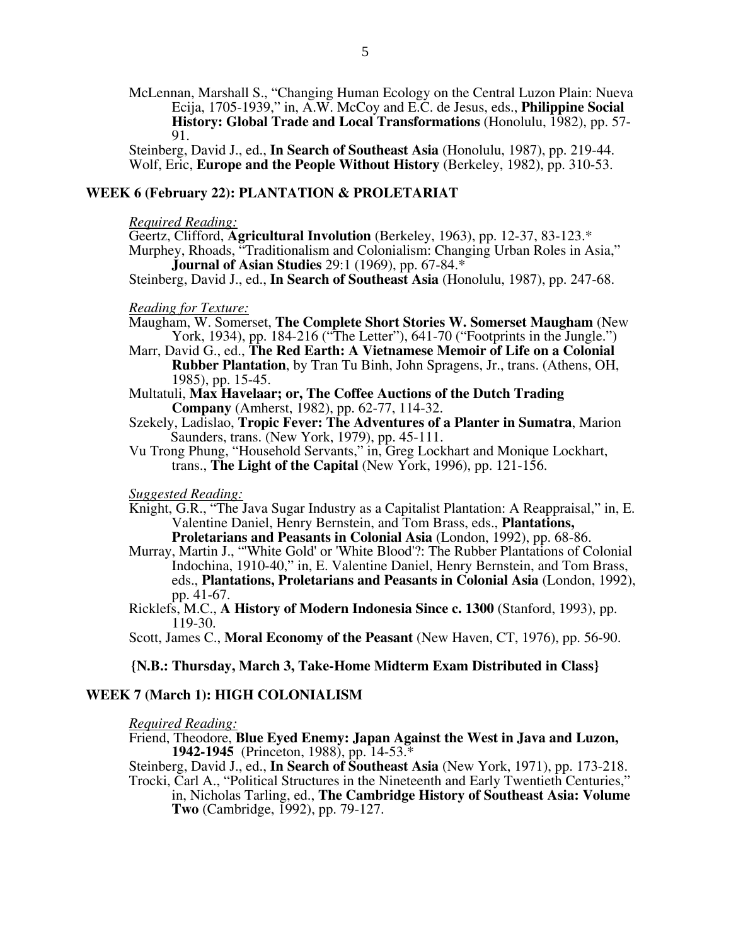McLennan, Marshall S., "Changing Human Ecology on the Central Luzon Plain: Nueva Ecija, 1705-1939," in, A.W. McCoy and E.C. de Jesus, eds., **Philippine Social History: Global Trade and Local Transformations** (Honolulu, 1982), pp. 57- 91.

Steinberg, David J., ed., **In Search of Southeast Asia** (Honolulu, 1987), pp. 219-44. Wolf, Eric, **Europe and the People Without History** (Berkeley, 1982), pp. 310-53.

## **WEEK 6 (February 22): PLANTATION & PROLETARIAT**

## *Required Reading:*

Geertz, Clifford, **Agricultural Involution** (Berkeley, 1963), pp. 12-37, 83-123.\* Murphey, Rhoads, "Traditionalism and Colonialism: Changing Urban Roles in Asia," **Journal of Asian Studies** 29:1 (1969), pp. 67-84.\*

Steinberg, David J., ed., **In Search of Southeast Asia** (Honolulu, 1987), pp. 247-68.

### *Reading for Texture:*

- Maugham, W. Somerset, **The Complete Short Stories W. Somerset Maugham** (New York, 1934), pp. 184-216 ("The Letter"), 641-70 ("Footprints in the Jungle.")
- Marr, David G., ed., **The Red Earth: A Vietnamese Memoir of Life on a Colonial Rubber Plantation**, by Tran Tu Binh, John Spragens, Jr., trans. (Athens, OH, 1985), pp. 15-45.
- Multatuli, **Max Havelaar; or, The Coffee Auctions of the Dutch Trading Company** (Amherst, 1982), pp. 62-77, 114-32.
- Szekely, Ladislao, **Tropic Fever: The Adventures of a Planter in Sumatra**, Marion Saunders, trans. (New York, 1979), pp. 45-111.
- Vu Trong Phung, "Household Servants," in, Greg Lockhart and Monique Lockhart, trans., **The Light of the Capital** (New York, 1996), pp. 121-156.

#### *Suggested Reading:*

- Knight, G.R., "The Java Sugar Industry as a Capitalist Plantation: A Reappraisal," in, E. Valentine Daniel, Henry Bernstein, and Tom Brass, eds., **Plantations, Proletarians and Peasants in Colonial Asia** (London, 1992), pp. 68-86.
- Murray, Martin J., "'White Gold' or 'White Blood'?: The Rubber Plantations of Colonial Indochina, 1910-40," in, E. Valentine Daniel, Henry Bernstein, and Tom Brass, eds., **Plantations, Proletarians and Peasants in Colonial Asia** (London, 1992), pp. 41-67.
- Ricklefs, M.C., **A History of Modern Indonesia Since c. 1300** (Stanford, 1993), pp. 119-30.
- Scott, James C., **Moral Economy of the Peasant** (New Haven, CT, 1976), pp. 56-90.

### **{N.B.: Thursday, March 3, Take-Home Midterm Exam Distributed in Class}**

## **WEEK 7 (March 1): HIGH COLONIALISM**

#### *Required Reading:*

Friend, Theodore, **Blue Eyed Enemy: Japan Against the West in Java and Luzon, 1942-1945** (Princeton, 1988), pp. 14-53.\*

Steinberg, David J., ed., **In Search of Southeast Asia** (New York, 1971), pp. 173-218.

Trocki, Carl A., "Political Structures in the Nineteenth and Early Twentieth Centuries," in, Nicholas Tarling, ed., **The Cambridge History of Southeast Asia: Volume Two** (Cambridge, 1992), pp. 79-127.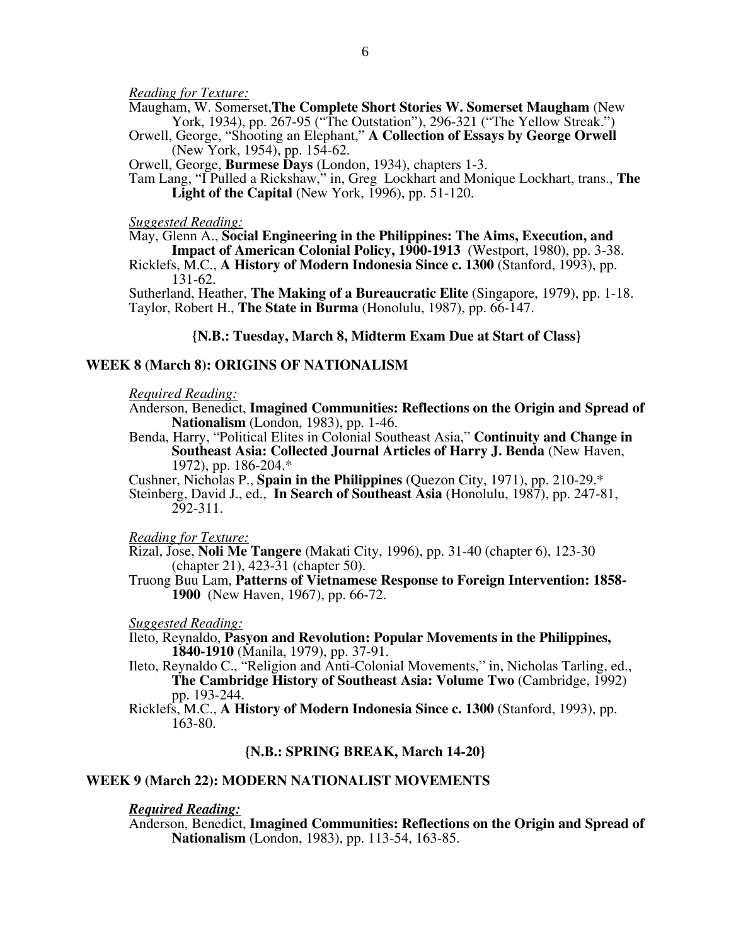*Reading for Texture:* 

Maugham, W. Somerset,**The Complete Short Stories W. Somerset Maugham** (New York, 1934), pp. 267-95 ("The Outstation"), 296-321 ("The Yellow Streak.")

Orwell, George, "Shooting an Elephant," **A Collection of Essays by George Orwell** (New York, 1954), pp. 154-62.

Orwell, George, **Burmese Days** (London, 1934), chapters 1-3.

Tam Lang, "I Pulled a Rickshaw," in, Greg Lockhart and Monique Lockhart, trans., **The Light of the Capital** (New York, 1996), pp. 51-120.

#### *Suggested Reading:*

May, Glenn A., **Social Engineering in the Philippines: The Aims, Execution, and** 

**Impact of American Colonial Policy, 1900-1913** (Westport, 1980), pp. 3-38. Ricklefs, M.C., **A History of Modern Indonesia Since c. 1300** (Stanford, 1993), pp. 131-62.

Sutherland, Heather, **The Making of a Bureaucratic Elite** (Singapore, 1979), pp. 1-18. Taylor, Robert H., **The State in Burma** (Honolulu, 1987), pp. 66-147.

**{N.B.: Tuesday, March 8, Midterm Exam Due at Start of Class}**

## **WEEK 8 (March 8): ORIGINS OF NATIONALISM**

*Required Reading:* 

Anderson, Benedict, **Imagined Communities: Reflections on the Origin and Spread of Nationalism** (London, 1983), pp. 1-46.

Benda, Harry, "Political Elites in Colonial Southeast Asia," **Continuity and Change in Southeast Asia: Collected Journal Articles of Harry J. Benda** (New Haven, 1972), pp. 186-204.\*

Cushner, Nicholas P., **Spain in the Philippines** (Quezon City, 1971), pp. 210-29.\*

Steinberg, David J., ed., **In Search of Southeast Asia** (Honolulu, 1987), pp. 247-81, 292-311.

*Reading for Texture:* 

Rizal, Jose, **Noli Me Tangere** (Makati City, 1996), pp. 31-40 (chapter 6), 123-30 (chapter 21), 423-31 (chapter 50).

Truong Buu Lam, **Patterns of Vietnamese Response to Foreign Intervention: 1858- 1900** (New Haven, 1967), pp. 66-72.

*Suggested Reading:* 

Ileto, Reynaldo, **Pasyon and Revolution: Popular Movements in the Philippines, 1840-1910** (Manila, 1979), pp. 37-91.

Ileto, Reynaldo C., "Religion and Anti-Colonial Movements," in, Nicholas Tarling, ed., **The Cambridge History of Southeast Asia: Volume Two** (Cambridge, 1992) pp. 193-244.

Ricklefs, M.C., **A History of Modern Indonesia Since c. 1300** (Stanford, 1993), pp. 163-80.

## **{N.B.: SPRING BREAK, March 14-20}**

## **WEEK 9 (March 22): MODERN NATIONALIST MOVEMENTS**

#### *Required Reading:*

Anderson, Benedict, **Imagined Communities: Reflections on the Origin and Spread of Nationalism** (London, 1983), pp. 113-54, 163-85.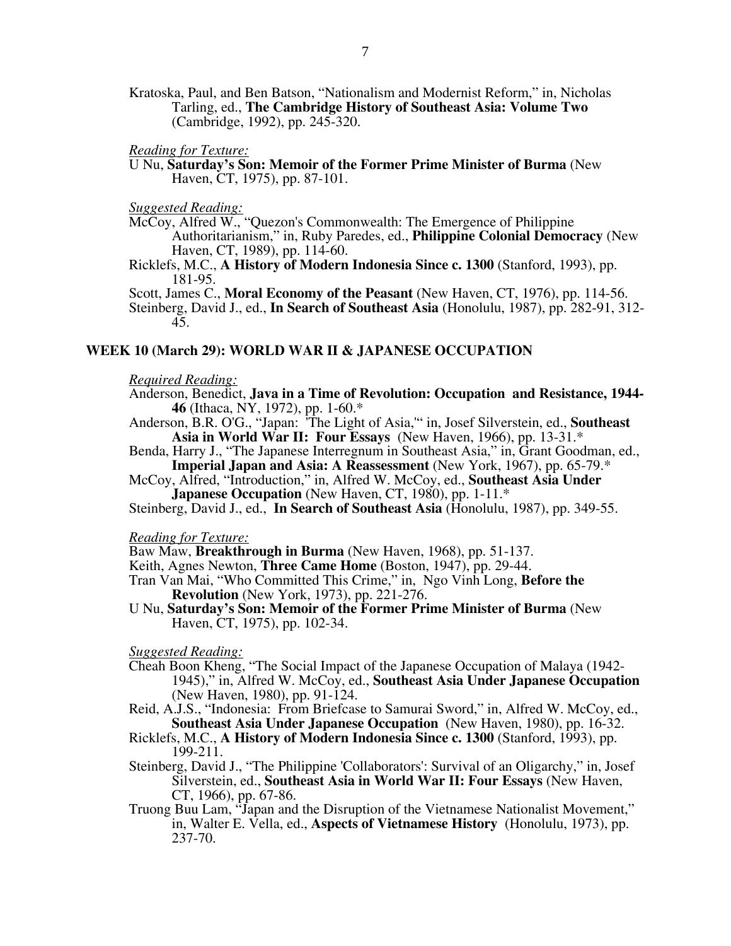Kratoska, Paul, and Ben Batson, "Nationalism and Modernist Reform," in, Nicholas Tarling, ed., **The Cambridge History of Southeast Asia: Volume Two**  (Cambridge, 1992), pp. 245-320.

*Reading for Texture:* 

U Nu, **Saturday's Son: Memoir of the Former Prime Minister of Burma** (New Haven, CT, 1975), pp. 87-101.

*Suggested Reading:* 

- McCoy, Alfred W., "Quezon's Commonwealth: The Emergence of Philippine Authoritarianism," in, Ruby Paredes, ed., **Philippine Colonial Democracy** (New Haven, CT, 1989), pp. 114-60.
- Ricklefs, M.C., **A History of Modern Indonesia Since c. 1300** (Stanford, 1993), pp. 181-95.

Scott, James C., **Moral Economy of the Peasant** (New Haven, CT, 1976), pp. 114-56. Steinberg, David J., ed., **In Search of Southeast Asia** (Honolulu, 1987), pp. 282-91, 312-

## **WEEK 10 (March 29): WORLD WAR II & JAPANESE OCCUPATION**

## *Required Reading:*

- Anderson, Benedict, **Java in a Time of Revolution: Occupation and Resistance, 1944- 46** (Ithaca, NY, 1972), pp. 1-60.\*
- Anderson, B.R. O'G., "Japan: 'The Light of Asia,'" in, Josef Silverstein, ed., **Southeast Asia in World War II: Four Essays** (New Haven, 1966), pp. 13-31.\*
- Benda, Harry J., "The Japanese Interregnum in Southeast Asia," in, Grant Goodman, ed., **Imperial Japan and Asia: A Reassessment** (New York, 1967), pp. 65-79.\*
- McCoy, Alfred, "Introduction," in, Alfred W. McCoy, ed., **Southeast Asia Under Japanese Occupation** (New Haven, CT, 1980), pp. 1-11.\*

Steinberg, David J., ed., **In Search of Southeast Asia** (Honolulu, 1987), pp. 349-55.

*Reading for Texture:* 

Baw Maw, **Breakthrough in Burma** (New Haven, 1968), pp. 51-137.

Keith, Agnes Newton, **Three Came Home** (Boston, 1947), pp. 29-44.

- Tran Van Mai, "Who Committed This Crime," in, Ngo Vinh Long, **Before the Revolution** (New York, 1973), pp. 221-276.
- U Nu, **Saturday's Son: Memoir of the Former Prime Minister of Burma** (New Haven, CT, 1975), pp. 102-34.

- Cheah Boon Kheng, "The Social Impact of the Japanese Occupation of Malaya (1942- 1945)," in, Alfred W. McCoy, ed., **Southeast Asia Under Japanese Occupation** (New Haven, 1980), pp. 91-124.
- Reid, A.J.S., "Indonesia: From Briefcase to Samurai Sword," in, Alfred W. McCoy, ed., **Southeast Asia Under Japanese Occupation** (New Haven, 1980), pp. 16-32.
- Ricklefs, M.C., **A History of Modern Indonesia Since c. 1300** (Stanford, 1993), pp. 199-211.
- Steinberg, David J., "The Philippine 'Collaborators': Survival of an Oligarchy," in, Josef Silverstein, ed., **Southeast Asia in World War II: Four Essays** (New Haven, CT, 1966), pp. 67-86.
- Truong Buu Lam, "Japan and the Disruption of the Vietnamese Nationalist Movement," in, Walter E. Vella, ed., **Aspects of Vietnamese History**(Honolulu, 1973), pp. 237-70.

<sup>45.</sup>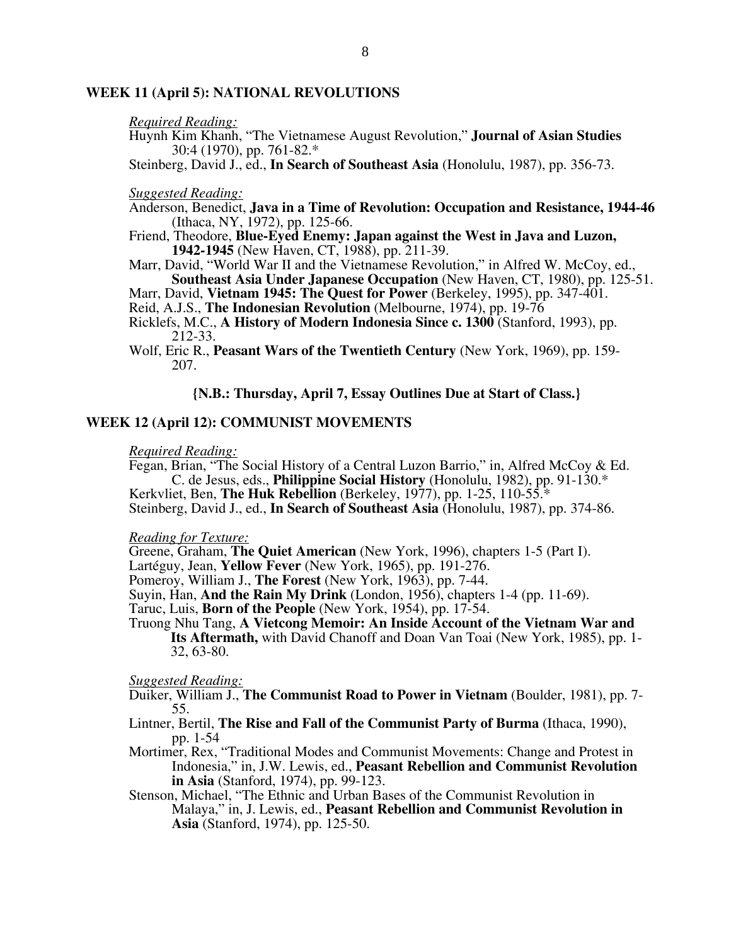## **WEEK 11 (April 5): NATIONAL REVOLUTIONS**

#### *Required Reading:*

- Huynh Kim Khanh, "The Vietnamese August Revolution," **Journal of Asian Studies**  30:4 (1970), pp. 761-82.\*
- Steinberg, David J., ed., **In Search of Southeast Asia** (Honolulu, 1987), pp. 356-73.

#### *Suggested Reading:*

- Anderson, Benedict, **Java in a Time of Revolution: Occupation and Resistance, 1944-46**  (Ithaca, NY, 1972), pp. 125-66.
- Friend, Theodore, **Blue-Eyed Enemy: Japan against the West in Java and Luzon, 1942-1945** (New Haven, CT, 1988), pp. 211-39.
- Marr, David, "World War II and the Vietnamese Revolution," in Alfred W. McCoy, ed., **Southeast Asia Under Japanese Occupation** (New Haven, CT, 1980), pp. 125-51.
- Marr, David, **Vietnam 1945: The Quest for Power** (Berkeley, 1995), pp. 347-401.
- Reid, A.J.S., **The Indonesian Revolution** (Melbourne, 1974), pp. 19-76
- Ricklefs, M.C., **A History of Modern Indonesia Since c. 1300** (Stanford, 1993), pp. 212-33.
- Wolf, Eric R., **Peasant Wars of the Twentieth Century** (New York, 1969), pp. 159- 207.

## **{N.B.: Thursday, April 7, Essay Outlines Due at Start of Class.}**

## **WEEK 12 (April 12): COMMUNIST MOVEMENTS**

#### *Required Reading:*

Fegan, Brian, "The Social History of a Central Luzon Barrio," in, Alfred McCoy & Ed. C. de Jesus, eds., **Philippine Social History** (Honolulu, 1982), pp. 91-130.\*

Kerkvliet, Ben, **The Huk Rebellion** (Berkeley, 1977), pp. 1-25, 110-55.\* Steinberg, David J., ed., **In Search of Southeast Asia** (Honolulu, 1987), pp. 374-86.

*Reading for Texture:* 

Greene, Graham, **The Quiet American** (New York, 1996), chapters 1-5 (Part I).

Lartéguy, Jean, **Yellow Fever** (New York, 1965), pp. 191-276.

Pomeroy, William J., **The Forest** (New York, 1963), pp. 7-44.

Suyin, Han, **And the Rain My Drink** (London, 1956), chapters 1-4 (pp. 11-69).

Taruc, Luis, **Born of the People** (New York, 1954), pp. 17-54.

Truong Nhu Tang, **A Vietcong Memoir: An Inside Account of the Vietnam War and Its Aftermath,** with David Chanoff and Doan Van Toai (New York, 1985), pp. 1- 32, 63-80.

- Duiker, William J., **The Communist Road to Power in Vietnam** (Boulder, 1981), pp. 7- 55.
- Lintner, Bertil, **The Rise and Fall of the Communist Party of Burma** (Ithaca, 1990), pp. 1-54
- Mortimer, Rex, "Traditional Modes and Communist Movements: Change and Protest in Indonesia," in, J.W. Lewis, ed., **Peasant Rebellion and Communist Revolution in Asia** (Stanford, 1974), pp. 99-123.
- Stenson, Michael, "The Ethnic and Urban Bases of the Communist Revolution in Malaya," in, J. Lewis, ed., **Peasant Rebellion and Communist Revolution in Asia** (Stanford, 1974), pp. 125-50.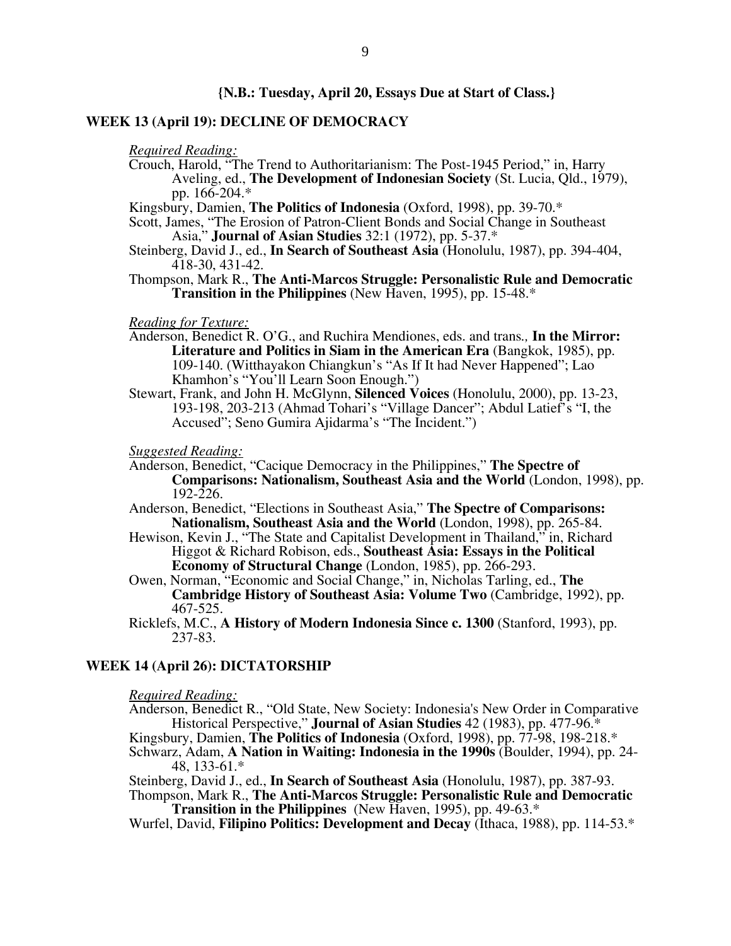## **{N.B.: Tuesday, April 20, Essays Due at Start of Class.}**

## **WEEK 13 (April 19): DECLINE OF DEMOCRACY**

*Required Reading:* 

Crouch, Harold, "The Trend to Authoritarianism: The Post-1945 Period," in, Harry Aveling, ed., **The Development of Indonesian Society** (St. Lucia, Qld., 1979), pp. 166-204.\*

Kingsbury, Damien, **The Politics of Indonesia** (Oxford, 1998), pp. 39-70.\*

Scott, James, "The Erosion of Patron-Client Bonds and Social Change in Southeast Asia," **Journal of Asian Studies** 32:1 (1972), pp. 5-37.\*

Steinberg, David J., ed., **In Search of Southeast Asia** (Honolulu, 1987), pp. 394-404, 418-30, 431-42.

Thompson, Mark R., **The Anti-Marcos Struggle: Personalistic Rule and Democratic Transition in the Philippines** (New Haven, 1995), pp. 15-48.\*

#### *Reading for Texture:*

- Anderson, Benedict R. O'G., and Ruchira Mendiones, eds. and trans*.,* **In the Mirror: Literature and Politics in Siam in the American Era** (Bangkok, 1985), pp. 109-140. (Witthayakon Chiangkun's "As If It had Never Happened"; Lao Khamhon's "You'll Learn Soon Enough.")
- Stewart, Frank, and John H. McGlynn, **Silenced Voices** (Honolulu, 2000), pp. 13-23, 193-198, 203-213 (Ahmad Tohari's "Village Dancer"; Abdul Latief's "I, the Accused"; Seno Gumira Ajidarma's "The Incident.")

*Suggested Reading:* 

- Anderson, Benedict, "Cacique Democracy in the Philippines," **The Spectre of Comparisons: Nationalism, Southeast Asia and the World** (London, 1998), pp.  $192 - 226$ .
- Anderson, Benedict, "Elections in Southeast Asia," **The Spectre of Comparisons: Nationalism, Southeast Asia and the World** (London, 1998), pp. 265-84.
- Hewison, Kevin J., "The State and Capitalist Development in Thailand," in, Richard Higgot & Richard Robison, eds., **Southeast Asia: Essays in the Political Economy of Structural Change** (London, 1985), pp. 266-293.
- Owen, Norman, "Economic and Social Change," in, Nicholas Tarling, ed., **The Cambridge History of Southeast Asia: Volume Two** (Cambridge, 1992), pp. 467-525.
- Ricklefs, M.C., **A History of Modern Indonesia Since c. 1300** (Stanford, 1993), pp. 237-83.

# **WEEK 14 (April 26): DICTATORSHIP**

#### *Required Reading:*

Anderson, Benedict R., "Old State, New Society: Indonesia's New Order in Comparative Historical Perspective," **Journal of Asian Studies** 42 (1983), pp. 477-96.\* Kingsbury, Damien, **The Politics of Indonesia** (Oxford, 1998), pp. 77-98, 198-218.\*

Schwarz, Adam, **A Nation in Waiting: Indonesia in the 1990s** (Boulder, 1994), pp. 24- 48, 133-61.\*

Steinberg, David J., ed., **In Search of Southeast Asia** (Honolulu, 1987), pp. 387-93. Thompson, Mark R., **The Anti-Marcos Struggle: Personalistic Rule and Democratic** 

**Transition in the Philippines** (New Haven, 1995), pp. 49-63.\*

Wurfel, David, **Filipino Politics: Development and Decay** (Ithaca, 1988), pp. 114-53.\*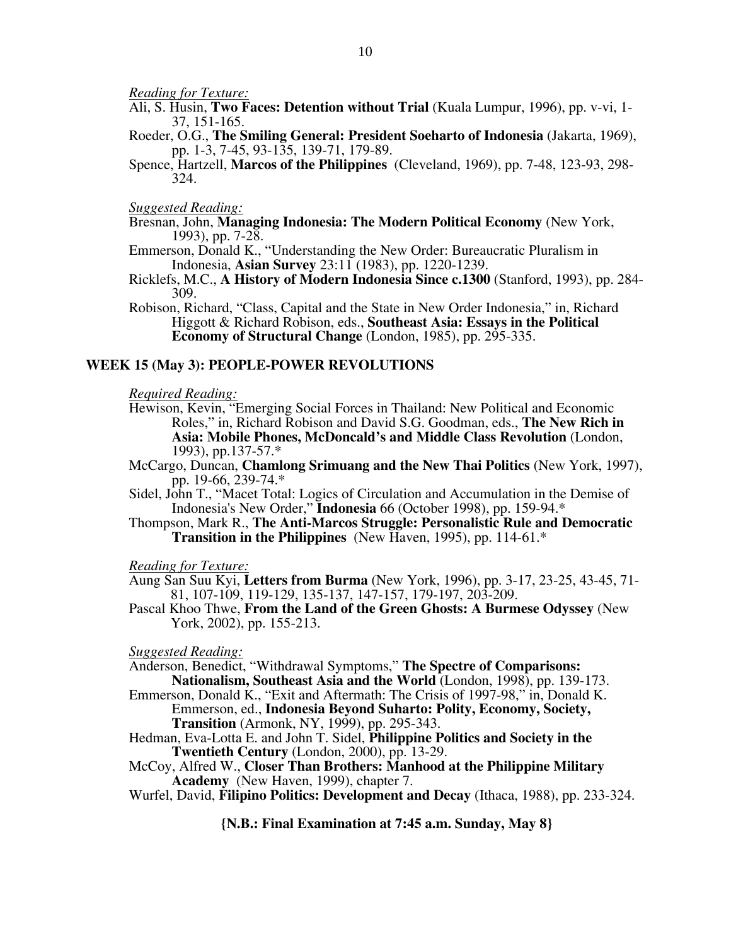*Reading for Texture:* 

- Ali, S. Husin, **Two Faces: Detention without Trial** (Kuala Lumpur, 1996), pp. v-vi, 1- 37, 151-165.
- Roeder, O.G., **The Smiling General: President Soeharto of Indonesia** (Jakarta, 1969), pp. 1-3, 7-45, 93-135, 139-71, 179-89.
- Spence, Hartzell, **Marcos of the Philippines** (Cleveland, 1969), pp. 7-48, 123-93, 298- 324.

## *Suggested Reading:*

- Bresnan, John, **Managing Indonesia: The Modern Political Economy** (New York, 1993), pp. 7-28.
- Emmerson, Donald K., "Understanding the New Order: Bureaucratic Pluralism in Indonesia, **Asian Survey** 23:11 (1983), pp. 1220-1239.
- Ricklefs, M.C., **A History of Modern Indonesia Since c.1300** (Stanford, 1993), pp. 284- 309.
- Robison, Richard, "Class, Capital and the State in New Order Indonesia," in, Richard Higgott & Richard Robison, eds., **Southeast Asia: Essays in the Political Economy of Structural Change** (London, 1985), pp. 295-335.

## **WEEK 15 (May 3): PEOPLE-POWER REVOLUTIONS**

*Required Reading:* 

- Hewison, Kevin, "Emerging Social Forces in Thailand: New Political and Economic Roles," in, Richard Robison and David S.G. Goodman, eds., **The New Rich in Asia: Mobile Phones, McDoncald's and Middle Class Revolution** (London, 1993), pp.137-57.\*
- McCargo, Duncan, **Chamlong Srimuang and the New Thai Politics** (New York, 1997), pp. 19-66, 239-74.\*
- Sidel, John T., "Macet Total: Logics of Circulation and Accumulation in the Demise of Indonesia's New Order," **Indonesia** 66 (October 1998), pp. 159-94.\*
- Thompson, Mark R., **The Anti-Marcos Struggle: Personalistic Rule and Democratic Transition in the Philippines** (New Haven, 1995), pp. 114-61.\*

*Reading for Texture:* 

- Aung San Suu Kyi, **Letters from Burma** (New York, 1996), pp. 3-17, 23-25, 43-45, 71- 81, 107-109, 119-129, 135-137, 147-157, 179-197, 203-209.
- Pascal Khoo Thwe, **From the Land of the Green Ghosts: A Burmese Odyssey** (New York, 2002), pp. 155-213.

*Suggested Reading:* 

Anderson, Benedict, "Withdrawal Symptoms," **The Spectre of Comparisons: Nationalism, Southeast Asia and the World** (London, 1998), pp. 139-173.

- Emmerson, Donald K., "Exit and Aftermath: The Crisis of 1997-98," in, Donald K. Emmerson, ed., **Indonesia Beyond Suharto: Polity, Economy, Society, Transition** (Armonk, NY, 1999), pp. 295-343.
- Hedman, Eva-Lotta E. and John T. Sidel, **Philippine Politics and Society in the Twentieth Century** (London, 2000), pp. 13-29.

McCoy, Alfred W., **Closer Than Brothers: Manhood at the Philippine Military Academy** (New Haven, 1999), chapter 7.

Wurfel, David, **Filipino Politics: Development and Decay** (Ithaca, 1988), pp. 233-324.

**{N.B.: Final Examination at 7:45 a.m. Sunday, May 8}**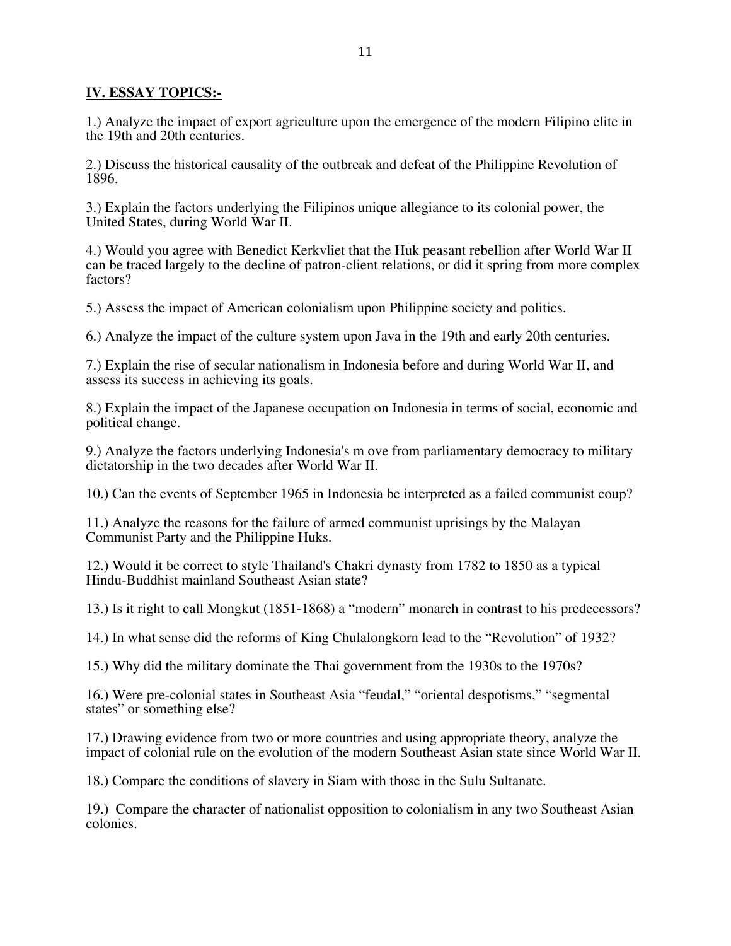# **IV. ESSAY TOPICS:-**

1.) Analyze the impact of export agriculture upon the emergence of the modern Filipino elite in the 19th and 20th centuries.

2.) Discuss the historical causality of the outbreak and defeat of the Philippine Revolution of 1896.

3.) Explain the factors underlying the Filipinos unique allegiance to its colonial power, the United States, during World War II.

4.) Would you agree with Benedict Kerkvliet that the Huk peasant rebellion after World War II can be traced largely to the decline of patron-client relations, or did it spring from more complex factors?

5.) Assess the impact of American colonialism upon Philippine society and politics.

6.) Analyze the impact of the culture system upon Java in the 19th and early 20th centuries.

7.) Explain the rise of secular nationalism in Indonesia before and during World War II, and assess its success in achieving its goals.

8.) Explain the impact of the Japanese occupation on Indonesia in terms of social, economic and political change.

9.) Analyze the factors underlying Indonesia's m ove from parliamentary democracy to military dictatorship in the two decades after World War II.

10.) Can the events of September 1965 in Indonesia be interpreted as a failed communist coup?

11.) Analyze the reasons for the failure of armed communist uprisings by the Malayan Communist Party and the Philippine Huks.

12.) Would it be correct to style Thailand's Chakri dynasty from 1782 to 1850 as a typical Hindu-Buddhist mainland Southeast Asian state?

13.) Is it right to call Mongkut (1851-1868) a "modern" monarch in contrast to his predecessors?

14.) In what sense did the reforms of King Chulalongkorn lead to the "Revolution" of 1932?

15.) Why did the military dominate the Thai government from the 1930s to the 1970s?

16.) Were pre-colonial states in Southeast Asia "feudal," "oriental despotisms," "segmental states" or something else?

17.) Drawing evidence from two or more countries and using appropriate theory, analyze the impact of colonial rule on the evolution of the modern Southeast Asian state since World War II.

18.) Compare the conditions of slavery in Siam with those in the Sulu Sultanate.

19.) Compare the character of nationalist opposition to colonialism in any two Southeast Asian colonies.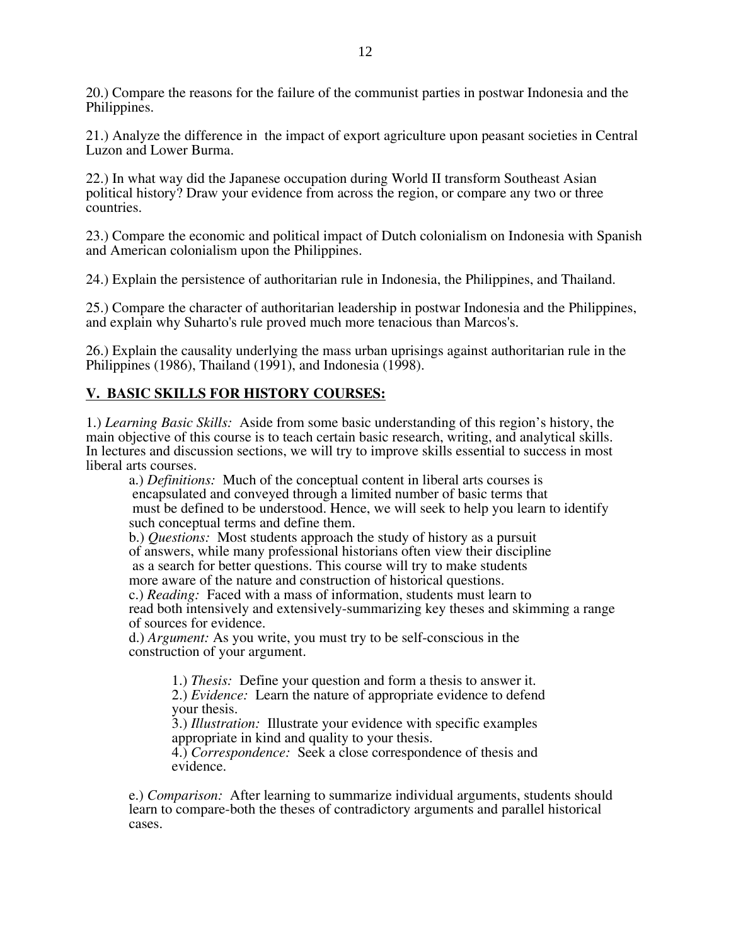20.) Compare the reasons for the failure of the communist parties in postwar Indonesia and the Philippines.

21.) Analyze the difference in the impact of export agriculture upon peasant societies in Central Luzon and Lower Burma.

22.) In what way did the Japanese occupation during World II transform Southeast Asian political history? Draw your evidence from across the region, or compare any two or three countries.

23.) Compare the economic and political impact of Dutch colonialism on Indonesia with Spanish and American colonialism upon the Philippines.

24.) Explain the persistence of authoritarian rule in Indonesia, the Philippines, and Thailand.

25.) Compare the character of authoritarian leadership in postwar Indonesia and the Philippines, and explain why Suharto's rule proved much more tenacious than Marcos's.

26.) Explain the causality underlying the mass urban uprisings against authoritarian rule in the Philippines (1986), Thailand (1991), and Indonesia (1998).

# **V. BASIC SKILLS FOR HISTORY COURSES:**

1.) *Learning Basic Skills:* Aside from some basic understanding of this region's history, the main objective of this course is to teach certain basic research, writing, and analytical skills. In lectures and discussion sections, we will try to improve skills essential to success in most liberal arts courses.

a.) *Definitions:* Much of the conceptual content in liberal arts courses is encapsulated and conveyed through a limited number of basic terms that must be defined to be understood. Hence, we will seek to help you learn to identify such conceptual terms and define them.

b.) *Questions:* Most students approach the study of history as a pursuit of answers, while many professional historians often view their discipline as a search for better questions. This course will try to make students more aware of the nature and construction of historical questions. c.) *Reading:* Faced with a mass of information, students must learn to

read both intensively and extensively-summarizing key theses and skimming a range of sources for evidence.

d.) *Argument:* As you write, you must try to be self-conscious in the construction of your argument.

> 1.) *Thesis:* Define your question and form a thesis to answer it. 2.) *Evidence:* Learn the nature of appropriate evidence to defend your thesis.

3.) *Illustration:* Illustrate your evidence with specific examples appropriate in kind and quality to your thesis.

4.) *Correspondence:* Seek a close correspondence of thesis and evidence.

e.) *Comparison:* After learning to summarize individual arguments, students should learn to compare-both the theses of contradictory arguments and parallel historical cases.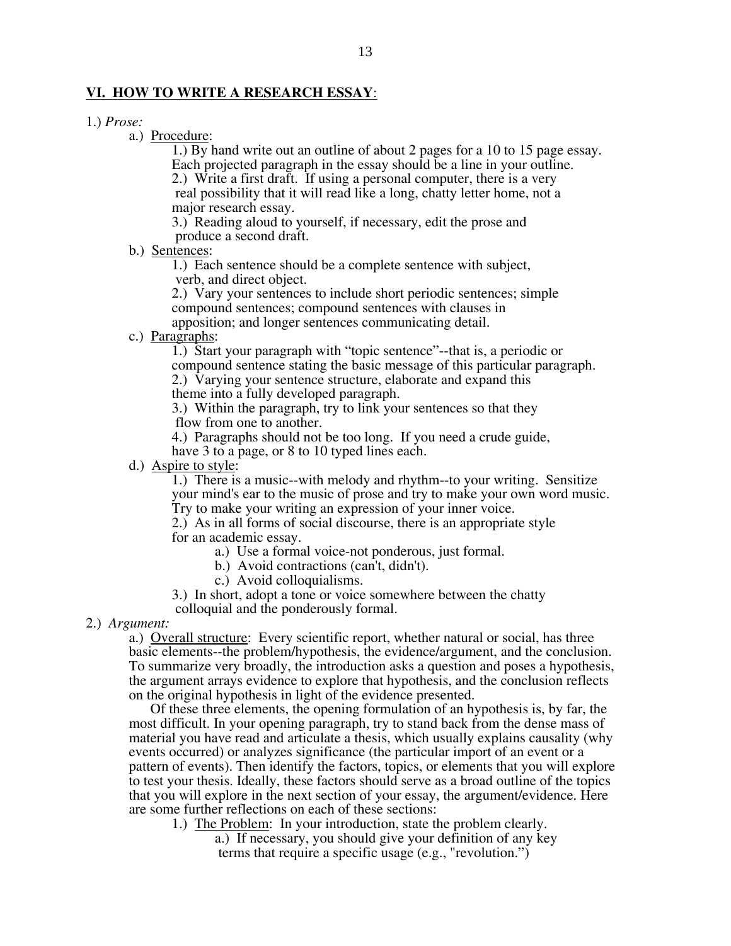## **VI. HOW TO WRITE A RESEARCH ESSAY**:

- 1.) *Prose:* 
	- a.) Procedure:

1.) By hand write out an outline of about 2 pages for a 10 to 15 page essay. Each projected paragraph in the essay should be a line in your outline.

2.) Write a first draft. If using a personal computer, there is a very real possibility that it will read like a long, chatty letter home, not a major research essay.

3.) Reading aloud to yourself, if necessary, edit the prose and produce a second draft.

b.) Sentences:

1.) Each sentence should be a complete sentence with subject, verb, and direct object.

2.) Vary your sentences to include short periodic sentences; simple compound sentences; compound sentences with clauses in

apposition; and longer sentences communicating detail.

c.) Paragraphs:

1.) Start your paragraph with "topic sentence"--that is, a periodic or compound sentence stating the basic message of this particular paragraph.

2.) Varying your sentence structure, elaborate and expand this

theme into a fully developed paragraph.

3.) Within the paragraph, try to link your sentences so that they flow from one to another.

4.) Paragraphs should not be too long. If you need a crude guide,

have 3 to a page, or 8 to 10 typed lines each.

d.) Aspire to style:

1.) There is a music--with melody and rhythm--to your writing. Sensitize your mind's ear to the music of prose and try to make your own word music. Try to make your writing an expression of your inner voice.

2.) As in all forms of social discourse, there is an appropriate style for an academic essay.

- a.) Use a formal voice-not ponderous, just formal.
- b.) Avoid contractions (can't, didn't).
- c.) Avoid colloquialisms.
- 3.) In short, adopt a tone or voice somewhere between the chatty

colloquial and the ponderously formal.

2.) *Argument:* 

a.) Overall structure: Every scientific report, whether natural or social, has three basic elements--the problem/hypothesis, the evidence/argument, and the conclusion. To summarize very broadly, the introduction asks a question and poses a hypothesis, the argument arrays evidence to explore that hypothesis, and the conclusion reflects on the original hypothesis in light of the evidence presented.

 Of these three elements, the opening formulation of an hypothesis is, by far, the most difficult. In your opening paragraph, try to stand back from the dense mass of material you have read and articulate a thesis, which usually explains causality (why events occurred) or analyzes significance (the particular import of an event or a pattern of events). Then identify the factors, topics, or elements that you will explore to test your thesis. Ideally, these factors should serve as a broad outline of the topics that you will explore in the next section of your essay, the argument/evidence. Here are some further reflections on each of these sections:

- 1.) The Problem: In your introduction, state the problem clearly.
	- a.) If necessary, you should give your definition of any key terms that require a specific usage (e.g., "revolution.")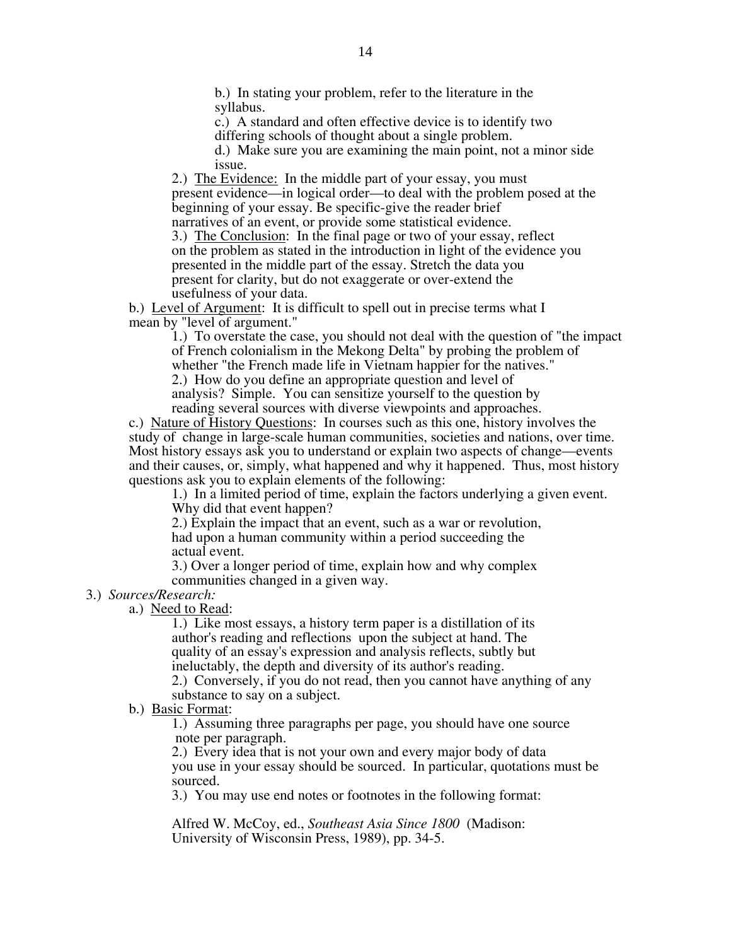b.) In stating your problem, refer to the literature in the syllabus.

c.) A standard and often effective device is to identify two differing schools of thought about a single problem.

d.) Make sure you are examining the main point, not a minor side issue.

2.) The Evidence: In the middle part of your essay, you must present evidence—in logical order—to deal with the problem posed at the beginning of your essay. Be specific-give the reader brief narratives of an event, or provide some statistical evidence.

3.) The Conclusion: In the final page or two of your essay, reflect on the problem as stated in the introduction in light of the evidence you presented in the middle part of the essay. Stretch the data you present for clarity, but do not exaggerate or over-extend the usefulness of your data.

b.) Level of Argument: It is difficult to spell out in precise terms what I mean by "level of argument."

1.) To overstate the case, you should not deal with the question of "the impact of French colonialism in the Mekong Delta" by probing the problem of whether "the French made life in Vietnam happier for the natives."

2.) How do you define an appropriate question and level of analysis? Simple. You can sensitize yourself to the question by reading several sources with diverse viewpoints and approaches.

c.) Nature of History Questions: In courses such as this one, history involves the study of change in large-scale human communities, societies and nations, over time. Most history essays ask you to understand or explain two aspects of change—events and their causes, or, simply, what happened and why it happened. Thus, most history questions ask you to explain elements of the following:

1.) In a limited period of time, explain the factors underlying a given event. Why did that event happen?

2.) Explain the impact that an event, such as a war or revolution, had upon a human community within a period succeeding the actual event.

3.) Over a longer period of time, explain how and why complex communities changed in a given way.

# 3.) *Sources/Research:*

a.) Need to Read:

1.) Like most essays, a history term paper is a distillation of its author's reading and reflections upon the subject at hand. The quality of an essay's expression and analysis reflects, subtly but ineluctably, the depth and diversity of its author's reading.

2.) Conversely, if you do not read, then you cannot have anything of any substance to say on a subject.

b.) Basic Format:

1.) Assuming three paragraphs per page, you should have one source note per paragraph.

2.) Every idea that is not your own and every major body of data you use in your essay should be sourced. In particular, quotations must be sourced.

3.) You may use end notes or footnotes in the following format:

Alfred W. McCoy, ed., *Southeast Asia Since 1800* (Madison: University of Wisconsin Press, 1989), pp. 34-5.